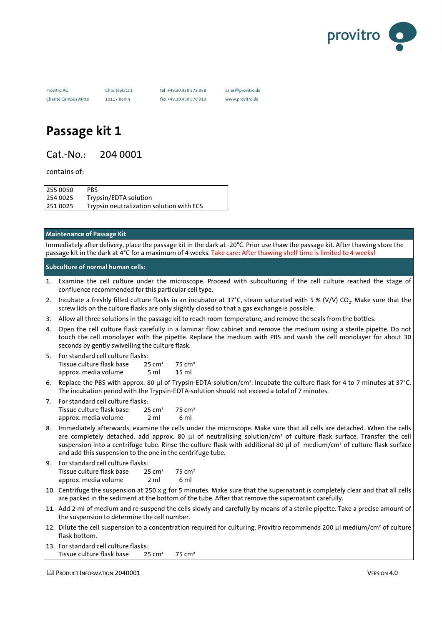

Charité Campus Mitte 10117 Berlin fax +49.30.450 578 919 www.provitro.de

Provitro AG Charitéplatz 1 tel +49.30.450 578 358 sales@provitro.de

## **Passage kit 1**

Cat.-No.: 204 0001

contains of:

255 0050 PBS 254 0025 Trypsin/EDTA solution 251 0025 Trypsin neutralization solution with FCS

## **Maintenance of Passage Kit**

Immediately after delivery, place the passage kit in the dark at -20°C. Prior use thaw the passage kit. After thawing store the passage kit in the dark at 4°C for a maximum of 4 weeks. Take care: After thawing shelf time is limited to 4 weeks!

**Subculture of normal human cells:**

- 1. Examine the cell culture under the microscope. Proceed with subculturing if the cell culture reached the stage of confluence recommended for this particular cell type.
- 2. Incubate a freshly filled culture flasks in an incubator at 37°C, steam saturated with 5 % (V/V) CO $_2$ . Make sure that the screw lids on the culture flasks are only slightly closed so that a gas exchange is possible.
- 3. Allow all three solutions in the passage kit to reach room temperature, and remove the seals from the bottles.
- 4. Open the cell culture flask carefully in a laminar flow cabinet and remove the medium using a sterile pipette. Do not touch the cell monolayer with the pipette. Replace the medium with PBS and wash the cell monolayer for about 30 seconds by gently swivelling the culture flask.

| 5. For standard cell culture flasks: |                    |                       |
|--------------------------------------|--------------------|-----------------------|
| Tissue culture flask base            | 25 cm <sup>2</sup> | $-75$ cm <sup>2</sup> |
| approx. media volume                 | 5 ml               | 15 ml                 |

- 6. Replace the PBS with approx. 80 µl of Trypsin-EDTA-solution/cm². Incubate the culture flask for 4 to 7 minutes at 37°C. The incubation period with the Trypsin-EDTA-solution should not exceed a total of 7 minutes.
- 7. For standard cell culture flasks: Tissue culture flask base 25 cm<sup>2</sup> 75 cm<sup>2</sup><br>approx. media volume 2 ml 6 ml approx. media volume
- 8. Immediately afterwards, examine the cells under the microscope. Make sure that all cells are detached. When the cells are completely detached, add approx. 80 µl of neutralising solution/cm<sup>3</sup> of culture flask surface. Transfer the cell suspension into a centrifuge tube. Rinse the culture flask with additional 80 µl of medium/cm<sup>2</sup> of culture flask surface and add this suspension to the one in the centrifuge tube.

| 9. For standard cell culture flasks: |                    |                    |
|--------------------------------------|--------------------|--------------------|
| Tissue culture flask base            | 25 cm <sup>2</sup> | 75 cm <sup>2</sup> |
| approx. media volume                 | 2 ml               | 6 ml               |

- 10. Centrifuge the suspension at 250 x g for 5 minutes. Make sure that the supernatant is completely clear and that all cells are packed in the sediment at the bottom of the tube. After that remove the supernatant carefully.
- 11. Add 2 ml of medium and re-suspend the cells slowly and carefully by means of a sterile pipette. Take a precise amount of the suspension to determine the cell number.
- 12. Dilute the cell suspension to a concentration required for culturing. Provitro recommends 200 µl medium/cm<sup>2</sup> of culture flask bottom.

| 13. For standard cell culture flasks: |                   |        |
|---------------------------------------|-------------------|--------|
| Tissue culture flask base             | $25 \text{ cm}^2$ | 75 cm² |